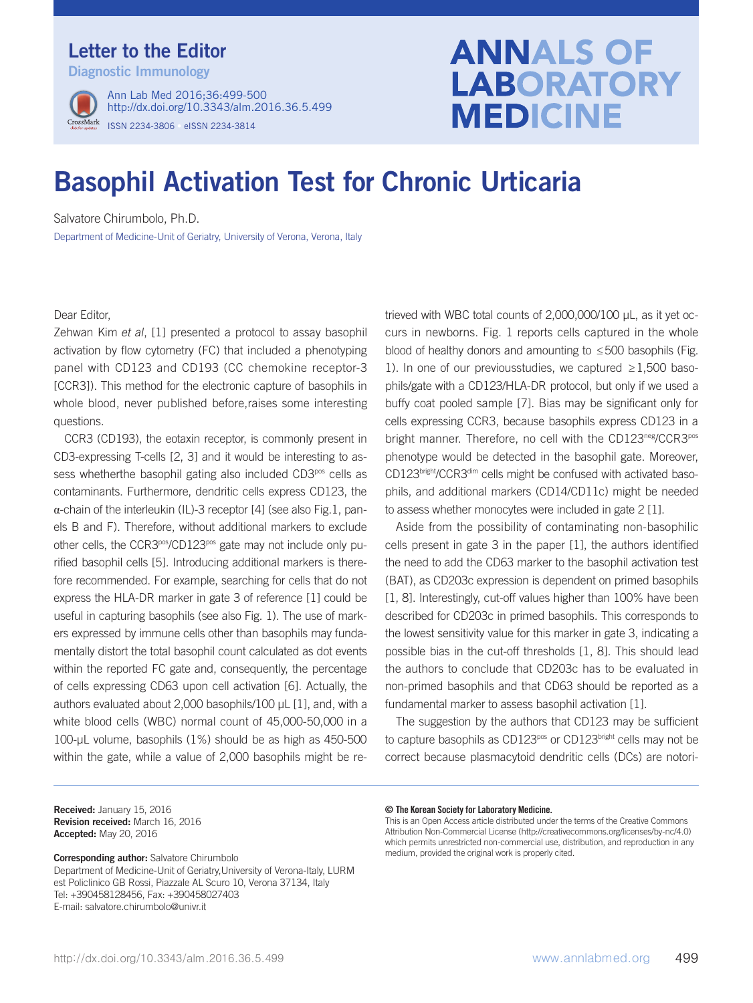## Letter to the Editor

Diagnostic Immunology



ISSN 2234-3806 • eISSN 2234-3814 Ann Lab Med 2016;36:499-500 http://dx.doi.org/10.3343/alm.2016.36.5.499

# **ANNALS OF LABORATORY MEDICINE**

# Basophil Activation Test for Chronic Urticaria

Salvatore Chirumbolo, Ph.D.

Department of Medicine-Unit of Geriatry, University of Verona, Verona, Italy

#### Dear Editor,

Zehwan Kim et al, [1] presented a protocol to assay basophil activation by flow cytometry (FC) that included a phenotyping panel with CD123 and CD193 (CC chemokine receptor-3 [CCR3]). This method for the electronic capture of basophils in whole blood, never published before,raises some interesting questions.

CCR3 (CD193), the eotaxin receptor, is commonly present in CD3-expressing T-cells [2, 3] and it would be interesting to assess whetherthe basophil gating also included CD3<sup>pos</sup> cells as contaminants. Furthermore, dendritic cells express CD123, the  $\alpha$ -chain of the interleukin (IL)-3 receptor [4] (see also Fig.1, panels B and F). Therefore, without additional markers to exclude other cells, the CCR3pos/CD123pos gate may not include only purified basophil cells [5]. Introducing additional markers is therefore recommended. For example, searching for cells that do not express the HLA-DR marker in gate 3 of reference [1] could be useful in capturing basophils (see also Fig. 1). The use of markers expressed by immune cells other than basophils may fundamentally distort the total basophil count calculated as dot events within the reported FC gate and, consequently, the percentage of cells expressing CD63 upon cell activation [6]. Actually, the authors evaluated about 2,000 basophils/100 μL [1], and, with a white blood cells (WBC) normal count of 45,000-50,000 in a 100-μL volume, basophils (1%) should be as high as 450-500 within the gate, while a value of 2,000 basophils might be re-

Received: January 15, 2016 Revision received: March 16, 2016 Accepted: May 20, 2016

Corresponding author: Salvatore Chirumbolo Department of Medicine-Unit of Geriatry,University of Verona-Italy, LURM est Policlinico GB Rossi, Piazzale AL Scuro 10, Verona 37134, Italy Tel: +390458128456, Fax: +390458027403 E-mail: salvatore.chirumbolo@univr.it

trieved with WBC total counts of 2,000,000/100 μL, as it yet occurs in newborns. Fig. 1 reports cells captured in the whole blood of healthy donors and amounting to ≤500 basophils (Fig. 1). In one of our previousstudies, we captured  $\geq 1,500$  basophils/gate with a CD123/HLA-DR protocol, but only if we used a buffy coat pooled sample [7]. Bias may be significant only for cells expressing CCR3, because basophils express CD123 in a bright manner. Therefore, no cell with the CD123<sup>neg</sup>/CCR3<sup>pos</sup> phenotype would be detected in the basophil gate. Moreover, CD123bright/CCR3dim cells might be confused with activated basophils, and additional markers (CD14/CD11c) might be needed to assess whether monocytes were included in gate 2 [1].

Aside from the possibility of contaminating non-basophilic cells present in gate 3 in the paper [1], the authors identified the need to add the CD63 marker to the basophil activation test (BAT), as CD203c expression is dependent on primed basophils [1, 8]. Interestingly, cut-off values higher than 100% have been described for CD203c in primed basophils. This corresponds to the lowest sensitivity value for this marker in gate 3, indicating a possible bias in the cut-off thresholds [1, 8]. This should lead the authors to conclude that CD203c has to be evaluated in non-primed basophils and that CD63 should be reported as a fundamental marker to assess basophil activation [1].

The suggestion by the authors that CD123 may be sufficient to capture basophils as CD123<sup>pos</sup> or CD123<sup>bright</sup> cells may not be correct because plasmacytoid dendritic cells (DCs) are notori-

#### © The Korean Society for Laboratory Medicine.

This is an Open Access article distributed under the terms of the Creative Commons Attribution Non-Commercial License (http://creativecommons.org/licenses/by-nc/4.0) which permits unrestricted non-commercial use, distribution, and reproduction in any medium, provided the original work is properly cited.